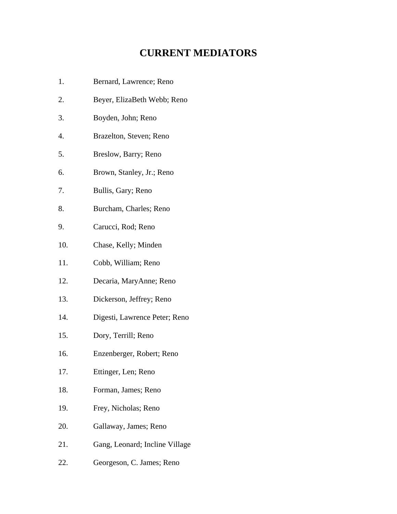## **CURRENT MEDIATORS**

- 1. Bernard, Lawrence; Reno
- 2. Beyer, ElizaBeth Webb; Reno
- 3. Boyden, John; Reno
- 4. Brazelton, Steven; Reno
- 5. Breslow, Barry; Reno
- 6. Brown, Stanley, Jr.; Reno
- 7. Bullis, Gary; Reno
- 8. Burcham, Charles; Reno
- 9. Carucci, Rod; Reno
- 10. Chase, Kelly; Minden
- 11. Cobb, William; Reno
- 12. Decaria, MaryAnne; Reno
- 13. Dickerson, Jeffrey; Reno
- 14. Digesti, Lawrence Peter; Reno
- 15. Dory, Terrill; Reno
- 16. Enzenberger, Robert; Reno
- 17. Ettinger, Len; Reno
- 18. Forman, James; Reno
- 19. Frey, Nicholas; Reno
- 20. Gallaway, James; Reno
- 21. Gang, Leonard; Incline Village
- 22. Georgeson, C. James; Reno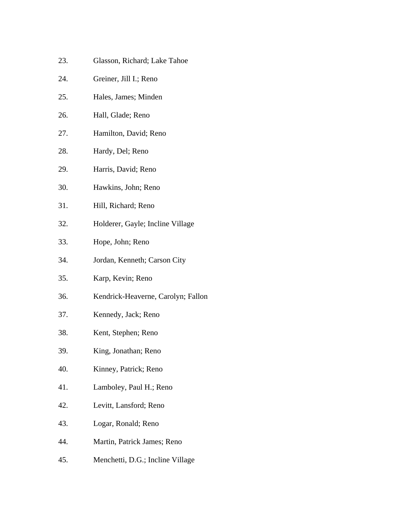- 23. Glasson, Richard; Lake Tahoe
- 24. Greiner, Jill I.; Reno
- 25. Hales, James; Minden
- 26. Hall, Glade; Reno
- 27. Hamilton, David; Reno
- 28. Hardy, Del; Reno
- 29. Harris, David; Reno
- 30. Hawkins, John; Reno
- 31. Hill, Richard; Reno
- 32. Holderer, Gayle; Incline Village
- 33. Hope, John; Reno
- 34. Jordan, Kenneth; Carson City
- 35. Karp, Kevin; Reno
- 36. Kendrick-Heaverne, Carolyn; Fallon
- 37. Kennedy, Jack; Reno
- 38. Kent, Stephen; Reno
- 39. King, Jonathan; Reno
- 40. Kinney, Patrick; Reno
- 41. Lamboley, Paul H.; Reno
- 42. Levitt, Lansford; Reno
- 43. Logar, Ronald; Reno
- 44. Martin, Patrick James; Reno
- 45. Menchetti, D.G.; Incline Village